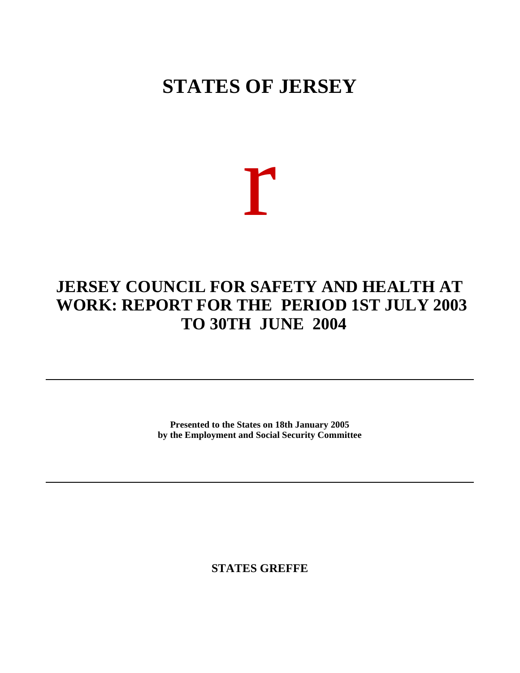# **STATES OF JERSEY**

# r

# **JERSEY COUNCIL FOR SAFETY AND HEALTH AT WORK: REPORT FOR THE PERIOD 1ST JULY 2003 TO 30TH JUNE 2004**

**Presented to the States on 18th January 2005 by the Employment and Social Security Committee**

**STATES GREFFE**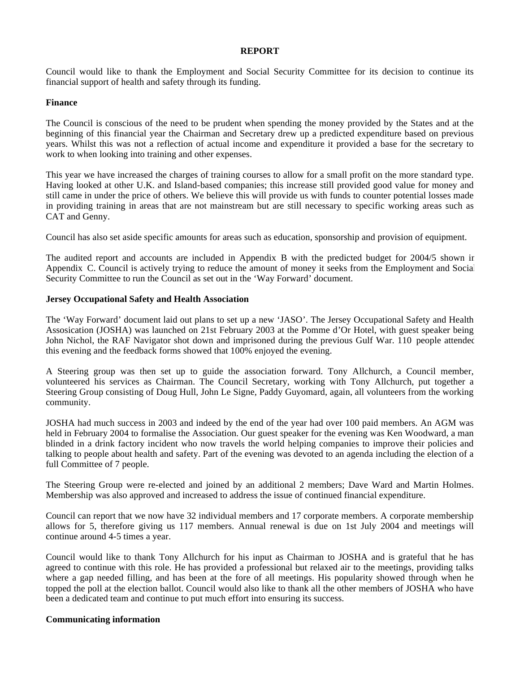#### **REPORT**

Council would like to thank the Employment and Social Security Committee for its decision to continue its financial support of health and safety through its funding.

# **Finance**

The Council is conscious of the need to be prudent when spending the money provided by the States and at the beginning of this financial year the Chairman and Secretary drew up a predicted expenditure based on previous years. Whilst this was not a reflection of actual income and expenditure it provided a base for the secretary to work to when looking into training and other expenses.

This year we have increased the charges of training courses to allow for a small profit on the more standard type. Having looked at other U.K. and Island-based companies; this increase still provided good value for money and still came in under the price of others. We believe this will provide us with funds to counter potential losses made in providing training in areas that are not mainstream but are still necessary to specific working areas such as CAT and Genny.

Council has also set aside specific amounts for areas such as education, sponsorship and provision of equipment.

The audited report and accounts are included in Appendix B with the predicted budget for 2004/5 shown in Appendix C. Council is actively trying to reduce the amount of money it seeks from the Employment and Social Security Committee to run the Council as set out in the 'Way Forward' document.

# **Jersey Occupational Safety and Health Association**

The 'Way Forward' document laid out plans to set up a new 'JASO'. The Jersey Occupational Safety and Health Assosication (JOSHA) was launched on 21st February 2003 at the Pomme d'Or Hotel, with guest speaker being John Nichol, the RAF Navigator shot down and imprisoned during the previous Gulf War. 110 people attended this evening and the feedback forms showed that 100% enjoyed the evening.

A Steering group was then set up to guide the association forward. Tony Allchurch, a Council member, volunteered his services as Chairman. The Council Secretary, working with Tony Allchurch, put together a Steering Group consisting of Doug Hull, John Le Signe, Paddy Guyomard, again, all volunteers from the working community.

JOSHA had much success in 2003 and indeed by the end of the year had over 100 paid members. An AGM was held in February 2004 to formalise the Association. Our guest speaker for the evening was Ken Woodward, a man blinded in a drink factory incident who now travels the world helping companies to improve their policies and talking to people about health and safety. Part of the evening was devoted to an agenda including the election of a full Committee of 7 people.

The Steering Group were re-elected and joined by an additional 2 members; Dave Ward and Martin Holmes. Membership was also approved and increased to address the issue of continued financial expenditure.

Council can report that we now have 32 individual members and 17 corporate members. A corporate membership allows for 5, therefore giving us 117 members. Annual renewal is due on 1st July 2004 and meetings will continue around 4-5 times a year.

Council would like to thank Tony Allchurch for his input as Chairman to JOSHA and is grateful that he has agreed to continue with this role. He has provided a professional but relaxed air to the meetings, providing talks where a gap needed filling, and has been at the fore of all meetings. His popularity showed through when he topped the poll at the election ballot. Council would also like to thank all the other members of JOSHA who have been a dedicated team and continue to put much effort into ensuring its success.

#### **Communicating information**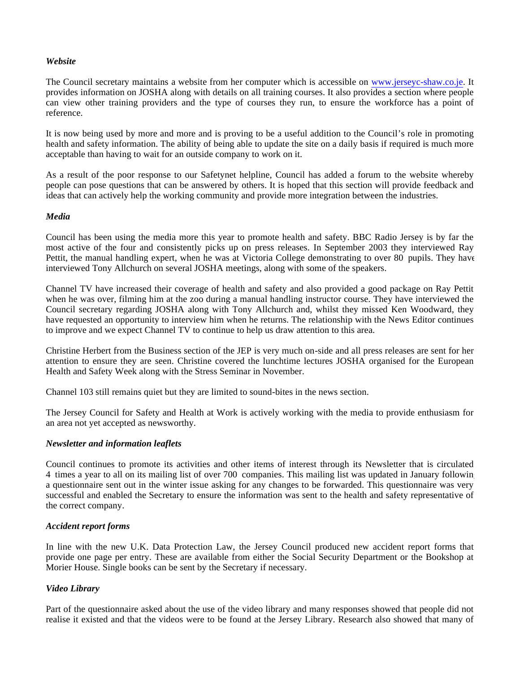### *Website*

The Council secretary maintains a website from her computer which is accessible on <www.jerseyc-shaw.co.je>. It provides information on JOSHA along with details on all training courses. It also provides a section where people can view other training providers and the type of courses they run, to ensure the workforce has a point of reference.

It is now being used by more and more and is proving to be a useful addition to the Council's role in promoting health and safety information. The ability of being able to update the site on a daily basis if required is much more acceptable than having to wait for an outside company to work on it.

As a result of the poor response to our Safetynet helpline, Council has added a forum to the website whereby people can pose questions that can be answered by others. It is hoped that this section will provide feedback and ideas that can actively help the working community and provide more integration between the industries.

### *Media*

Council has been using the media more this year to promote health and safety. BBC Radio Jersey is by far the most active of the four and consistently picks up on press releases. In September 2003 they interviewed Ray Pettit, the manual handling expert, when he was at Victoria College demonstrating to over 80 pupils. They have interviewed Tony Allchurch on several JOSHA meetings, along with some of the speakers.

Channel TV have increased their coverage of health and safety and also provided a good package on Ray Pettit when he was over, filming him at the zoo during a manual handling instructor course. They have interviewed the Council secretary regarding JOSHA along with Tony Allchurch and, whilst they missed Ken Woodward, they have requested an opportunity to interview him when he returns. The relationship with the News Editor continues to improve and we expect Channel TV to continue to help us draw attention to this area.

Christine Herbert from the Business section of the JEP is very much on-side and all press releases are sent for her attention to ensure they are seen. Christine covered the lunchtime lectures JOSHA organised for the European Health and Safety Week along with the Stress Seminar in November.

Channel 103 still remains quiet but they are limited to sound-bites in the news section.

The Jersey Council for Safety and Health at Work is actively working with the media to provide enthusiasm for an area not yet accepted as newsworthy.

# *Newsletter and information leaflets*

Council continues to promote its activities and other items of interest through its Newsletter that is circulated 4 times a year to all on its mailing list of over 700 companies. This mailing list was updated in January following a questionnaire sent out in the winter issue asking for any changes to be forwarded. This questionnaire was very successful and enabled the Secretary to ensure the information was sent to the health and safety representative of the correct company.

#### *Accident report forms*

In line with the new U.K. Data Protection Law, the Jersey Council produced new accident report forms that provide one page per entry. These are available from either the Social Security Department or the Bookshop at Morier House. Single books can be sent by the Secretary if necessary.

# *Video Library*

Part of the questionnaire asked about the use of the video library and many responses showed that people did not realise it existed and that the videos were to be found at the Jersey Library. Research also showed that many of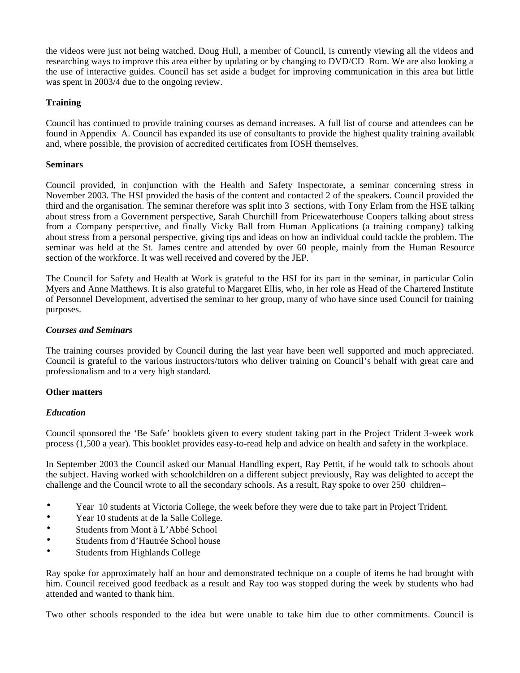the videos were just not being watched. Doug Hull, a member of Council, is currently viewing all the videos and researching ways to improve this area either by updating or by changing to DVD/CD Rom. We are also looking at the use of interactive guides. Council has set aside a budget for improving communication in this area but little was spent in 2003/4 due to the ongoing review.

# **Training**

Council has continued to provide training courses as demand increases. A full list of course and attendees can be found in Appendix A. Council has expanded its use of consultants to provide the highest quality training available and, where possible, the provision of accredited certificates from IOSH themselves.

# **Seminars**

Council provided, in conjunction with the Health and Safety Inspectorate, a seminar concerning stress in November 2003. The HSI provided the basis of the content and contacted 2 of the speakers. Council provided the third and the organisation. The seminar therefore was split into 3 sections, with Tony Erlam from the HSE talking about stress from a Government perspective, Sarah Churchill from Pricewaterhouse Coopers talking about stress from a Company perspective, and finally Vicky Ball from Human Applications (a training company) talking about stress from a personal perspective, giving tips and ideas on how an individual could tackle the problem. The seminar was held at the St. James centre and attended by over 60 people, mainly from the Human Resource section of the workforce. It was well received and covered by the JEP.

The Council for Safety and Health at Work is grateful to the HSI for its part in the seminar, in particular Colin Myers and Anne Matthews. It is also grateful to Margaret Ellis, who, in her role as Head of the Chartered Institute of Personnel Development, advertised the seminar to her group, many of who have since used Council for training purposes.

# *Courses and Seminars*

The training courses provided by Council during the last year have been well supported and much appreciated. Council is grateful to the various instructors/tutors who deliver training on Council's behalf with great care and professionalism and to a very high standard.

# **Other matters**

# *Education*

Council sponsored the 'Be Safe' booklets given to every student taking part in the Project Trident 3-week work process (1,500 a year). This booklet provides easy-to-read help and advice on health and safety in the workplace.

In September 2003 the Council asked our Manual Handling expert, Ray Pettit, if he would talk to schools about the subject. Having worked with schoolchildren on a different subject previously, Ray was delighted to accept the challenge and the Council wrote to all the secondary schools. As a result, Ray spoke to over 250 children-

- Year 10 students at Victoria College, the week before they were due to take part in Project Trident.
- Year 10 students at de la Salle College.
- Students from Mont à L'Abbé School
- Students from d'Hautrée School house
- Students from Highlands College

Ray spoke for approximately half an hour and demonstrated technique on a couple of items he had brought with him. Council received good feedback as a result and Ray too was stopped during the week by students who had attended and wanted to thank him.

Two other schools responded to the idea but were unable to take him due to other commitments. Council is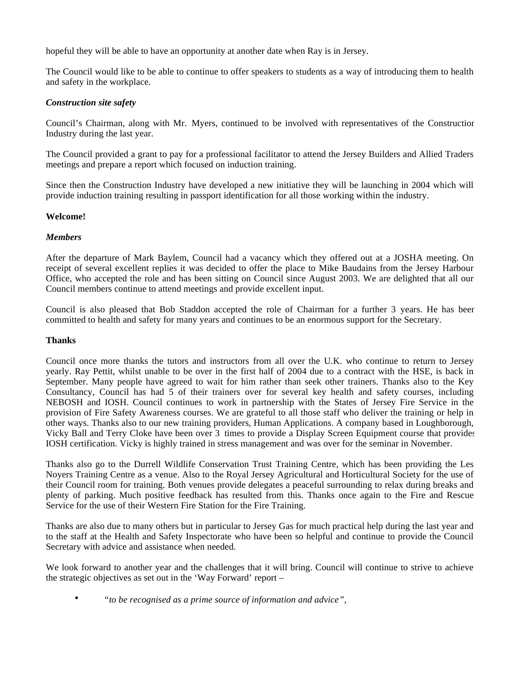hopeful they will be able to have an opportunity at another date when Ray is in Jersey.

The Council would like to be able to continue to offer speakers to students as a way of introducing them to health and safety in the workplace.

# *Construction site safety*

Council's Chairman, along with Mr. Myers, continued to be involved with representatives of the Construction Industry during the last year.

The Council provided a grant to pay for a professional facilitator to attend the Jersey Builders and Allied Traders meetings and prepare a report which focused on induction training.

Since then the Construction Industry have developed a new initiative they will be launching in 2004 which will provide induction training resulting in passport identification for all those working within the industry.

### **Welcome!**

### *Members*

After the departure of Mark Baylem, Council had a vacancy which they offered out at a JOSHA meeting. On receipt of several excellent replies it was decided to offer the place to Mike Baudains from the Jersey Harbour Office, who accepted the role and has been sitting on Council since August 2003. We are delighted that all our Council members continue to attend meetings and provide excellent input.

Council is also pleased that Bob Staddon accepted the role of Chairman for a further 3 years. He has been committed to health and safety for many years and continues to be an enormous support for the Secretary.

#### **Thanks**

Council once more thanks the tutors and instructors from all over the U.K. who continue to return to Jersey yearly. Ray Pettit, whilst unable to be over in the first half of 2004 due to a contract with the HSE, is back in September. Many people have agreed to wait for him rather than seek other trainers. Thanks also to the Key Consultancy, Council has had 5 of their trainers over for several key health and safety courses, including NEBOSH and IOSH. Council continues to work in partnership with the States of Jersey Fire Service in the provision of Fire Safety Awareness courses. We are grateful to all those staff who deliver the training or help in other ways. Thanks also to our new training providers, Human Applications. A company based in Loughborough, Vicky Ball and Terry Cloke have been over 3 times to provide a Display Screen Equipment course that provides IOSH certification. Vicky is highly trained in stress management and was over for the seminar in November.

Thanks also go to the Durrell Wildlife Conservation Trust Training Centre, which has been providing the Les Noyers Training Centre as a venue. Also to the Royal Jersey Agricultural and Horticultural Society for the use of their Council room for training. Both venues provide delegates a peaceful surrounding to relax during breaks and plenty of parking. Much positive feedback has resulted from this. Thanks once again to the Fire and Rescue Service for the use of their Western Fire Station for the Fire Training.

Thanks are also due to many others but in particular to Jersey Gas for much practical help during the last year and to the staff at the Health and Safety Inspectorate who have been so helpful and continue to provide the Council Secretary with advice and assistance when needed.

We look forward to another year and the challenges that it will bring. Council will continue to strive to achieve the strategic objectives as set out in the 'Way Forward' report –

• *"to be recognised as a prime source of information and advice",*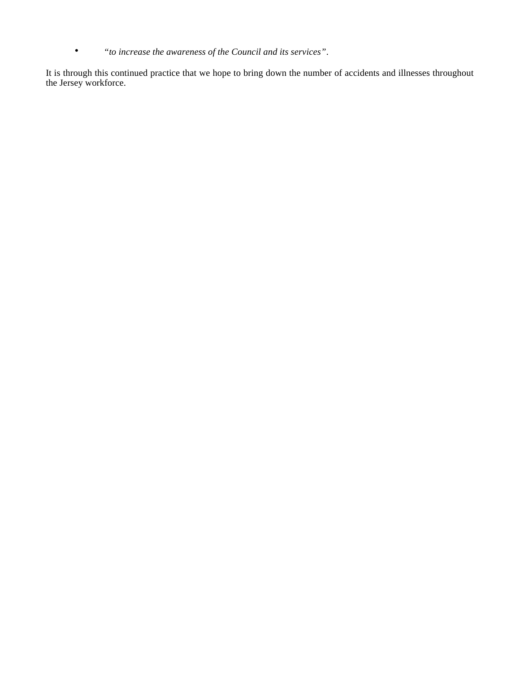• *"to increase the awareness of the Council and its services"*.

It is through this continued practice that we hope to bring down the number of accidents and illnesses throughout the Jersey workforce.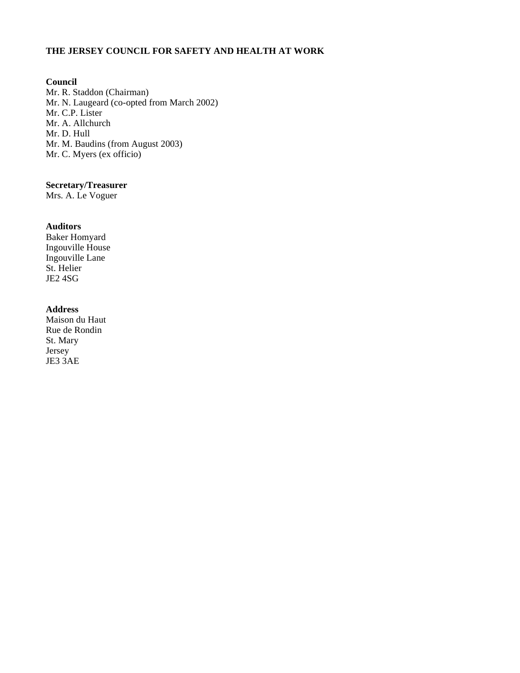# **THE JERSEY COUNCIL FOR SAFETY AND HEALTH AT WORK**

# **Council**

Mr. R. Staddon (Chairman) Mr. N. Laugeard (co-opted from March 2002) Mr. C.P. Lister Mr. A. Allchurch Mr. D. Hull Mr. M. Baudins (from August 2003) Mr. C. Myers (ex officio)

# **Secretary/Treasurer**

Mrs. A. Le Voguer

# **Auditors**

Baker Homyard Ingouville House Ingouville Lane St. Helier JE2 4SG

# **Address**

Maison du Haut Rue de Rondin St. Mary Jersey JE3 3AE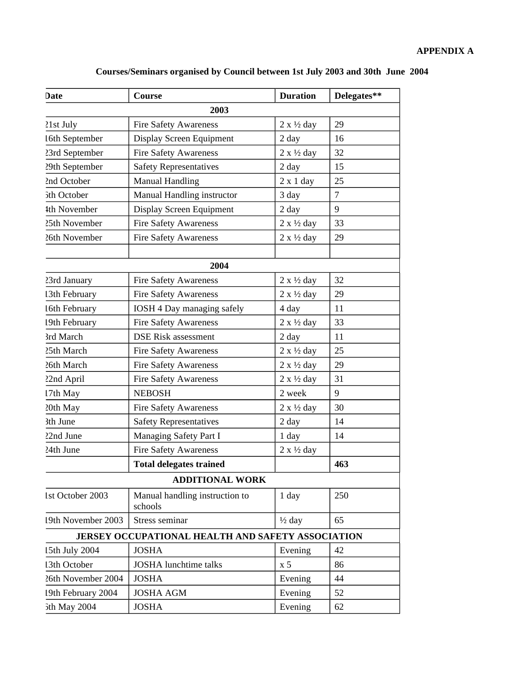| Date               | Course                                            | <b>Duration</b>            | Delegates**    |
|--------------------|---------------------------------------------------|----------------------------|----------------|
|                    | 2003                                              |                            |                |
| 21st July          | <b>Fire Safety Awareness</b>                      | $2 \times \frac{1}{2}$ day | 29             |
| 16th September     | Display Screen Equipment                          | 2 day                      | 16             |
| 23rd September     | <b>Fire Safety Awareness</b>                      | $2 \times \frac{1}{2}$ day | 32             |
| 29th September     | <b>Safety Representatives</b>                     | 2 day                      | 15             |
| 2nd October        | <b>Manual Handling</b>                            | $2 \times 1$ day           | 25             |
| 5th October        | Manual Handling instructor                        | 3 day                      | $\overline{7}$ |
| 4th November       | Display Screen Equipment                          | 2 day                      | 9              |
| 25th November      | <b>Fire Safety Awareness</b>                      | $2 \times \frac{1}{2}$ day | 33             |
| 26th November      | <b>Fire Safety Awareness</b>                      | $2 \times \frac{1}{2}$ day | 29             |
|                    |                                                   |                            |                |
|                    | 2004                                              |                            |                |
| 23rd January       | <b>Fire Safety Awareness</b>                      | $2 \times \frac{1}{2}$ day | 32             |
| 13th February      | <b>Fire Safety Awareness</b>                      | $2 x \frac{1}{2}$ day      | 29             |
| 16th February      | IOSH 4 Day managing safely                        | 4 day                      | 11             |
| 19th February      | <b>Fire Safety Awareness</b>                      | $2 x \frac{1}{2}$ day      | 33             |
| 3rd March          | <b>DSE Risk assessment</b>                        | 2 day                      | 11             |
| 25th March         | <b>Fire Safety Awareness</b>                      | $2 \times \frac{1}{2}$ day | 25             |
| 26th March         | <b>Fire Safety Awareness</b>                      | $2 \times \frac{1}{2}$ day | 29             |
| 22nd April         | <b>Fire Safety Awareness</b>                      | $2 x \frac{1}{2}$ day      | 31             |
| 17th May           | <b>NEBOSH</b>                                     | 2 week                     | 9              |
| 20th May           | <b>Fire Safety Awareness</b>                      | $2 \times \frac{1}{2}$ day | 30             |
| 3th June           | <b>Safety Representatives</b>                     | $2 \, day$                 | 14             |
| 22nd June          | Managing Safety Part I                            | 1 day                      | 14             |
| 24th June          | <b>Fire Safety Awareness</b>                      | $2 x \frac{1}{2}$ day      |                |
|                    | <b>Total delegates trained</b>                    |                            | 463            |
|                    | <b>ADDITIONAL WORK</b>                            |                            |                |
| 1st October 2003   | Manual handling instruction to<br>schools         | 1 day                      | 250            |
| 19th November 2003 | Stress seminar                                    | $\frac{1}{2}$ day          | 65             |
|                    | JERSEY OCCUPATIONAL HEALTH AND SAFETY ASSOCIATION |                            |                |
| 15th July 2004     | <b>JOSHA</b>                                      | Evening                    | 42             |
| 13th October       | <b>JOSHA</b> lunchtime talks                      | x <sub>5</sub>             | 86             |
| 26th November 2004 | <b>JOSHA</b>                                      | Evening                    | 44             |
| 19th February 2004 | <b>JOSHA AGM</b>                                  | Evening                    | 52             |
| 5th May 2004       | <b>JOSHA</b>                                      | Evening                    | 62             |

# **Courses/Seminars organised by Council between 1st July 2003 and 30th June 2004**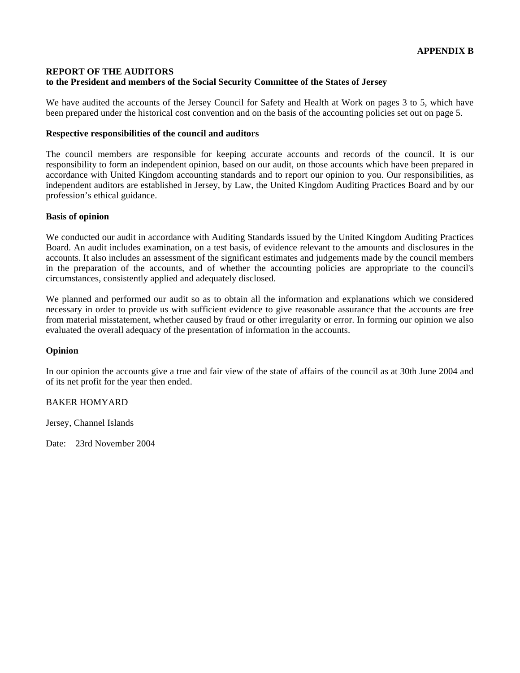# **REPORT OF THE AUDITORS to the President and members of the Social Security Committee of the States of Jersey**

We have audited the accounts of the Jersey Council for Safety and Health at Work on pages 3 to 5, which have been prepared under the historical cost convention and on the basis of the accounting policies set out on page 5.

### **Respective responsibilities of the council and auditors**

The council members are responsible for keeping accurate accounts and records of the council. It is our responsibility to form an independent opinion, based on our audit, on those accounts which have been prepared in accordance with United Kingdom accounting standards and to report our opinion to you. Our responsibilities, as independent auditors are established in Jersey, by Law, the United Kingdom Auditing Practices Board and by our profession's ethical guidance.

#### **Basis of opinion**

We conducted our audit in accordance with Auditing Standards issued by the United Kingdom Auditing Practices Board. An audit includes examination, on a test basis, of evidence relevant to the amounts and disclosures in the accounts. It also includes an assessment of the significant estimates and judgements made by the council members in the preparation of the accounts, and of whether the accounting policies are appropriate to the council's circumstances, consistently applied and adequately disclosed.

We planned and performed our audit so as to obtain all the information and explanations which we considered necessary in order to provide us with sufficient evidence to give reasonable assurance that the accounts are free from material misstatement, whether caused by fraud or other irregularity or error. In forming our opinion we also evaluated the overall adequacy of the presentation of information in the accounts.

# **Opinion**

In our opinion the accounts give a true and fair view of the state of affairs of the council as at 30th June 2004 and of its net profit for the year then ended.

# BAKER HOMYARD

Jersey, Channel Islands

Date: 23rd November 2004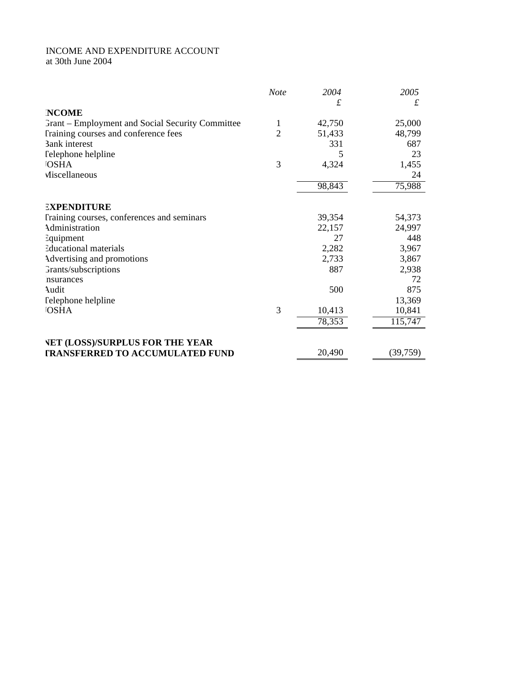# INCOME AND EXPENDITURE ACCOUNT at 30th June 2004

|                                                         | <b>Note</b>    | 2004   | 2005     |
|---------------------------------------------------------|----------------|--------|----------|
|                                                         |                | £      | £        |
| <b>NCOME</b>                                            |                |        |          |
| <b>Frant</b> – Employment and Social Security Committee | 1              | 42,750 | 25,000   |
| Training courses and conference fees                    | $\overline{2}$ | 51,433 | 48,799   |
| <b>3ank</b> interest                                    |                | 331    | 687      |
| <b>Telephone helpline</b>                               |                | 5      | 23       |
| <b>OSHA</b>                                             | 3              | 4,324  | 1,455    |
| Miscellaneous                                           |                |        | 24       |
|                                                         |                | 98,843 | 75,988   |
| <b>EXPENDITURE</b>                                      |                |        |          |
| Training courses, conferences and seminars              |                | 39,354 | 54,373   |
| Administration                                          |                | 22,157 | 24,997   |
| Equipment                                               |                | 27     | 448      |
| <b>Educational materials</b>                            |                | 2,282  | 3,967    |
| Advertising and promotions                              |                | 2,733  | 3,867    |
| Grants/subscriptions                                    |                | 887    | 2,938    |
| nsurances                                               |                |        | 72       |
| Audit                                                   |                | 500    | 875      |
| Telephone helpline                                      |                |        | 13,369   |
| <b>OSHA</b>                                             | 3              | 10,413 | 10,841   |
|                                                         |                | 78,353 | 115,747  |
| <b>VET (LOSS)/SURPLUS FOR THE YEAR</b>                  |                |        |          |
| <b>TRANSFERRED TO ACCUMULATED FUND</b>                  |                | 20,490 | (39,759) |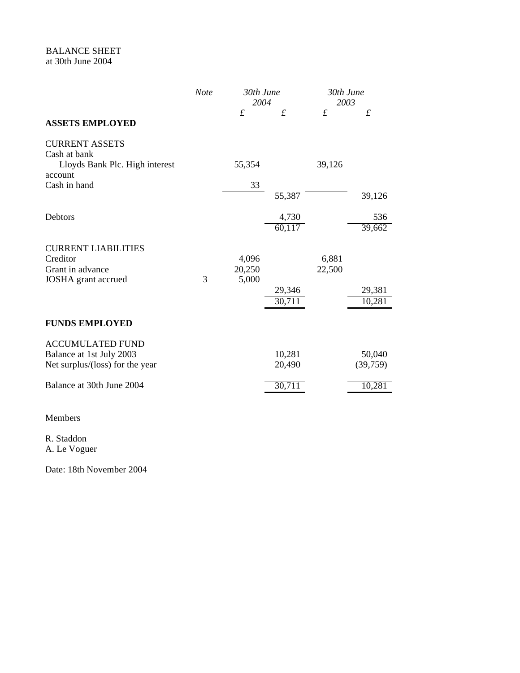|                                                             | <b>Note</b> | 30th June<br>2004           |                  | 30th June<br>2003           |                             |
|-------------------------------------------------------------|-------------|-----------------------------|------------------|-----------------------------|-----------------------------|
| <b>ASSETS EMPLOYED</b>                                      |             | $\mathcal{L}_{\mathcal{L}}$ | $\mathcal{L}$    | $\mathcal{L}_{\mathcal{L}}$ | $\mathcal{L}_{\mathcal{L}}$ |
| <b>CURRENT ASSETS</b><br>Cash at bank                       |             |                             |                  |                             |                             |
| Lloyds Bank Plc. High interest<br>account                   |             | 55,354                      |                  | 39,126                      |                             |
| Cash in hand                                                |             | 33                          | 55,387           |                             | 39,126                      |
| Debtors                                                     |             |                             | 4,730            |                             | 536                         |
|                                                             |             |                             | 60,117           |                             | 39,662                      |
| <b>CURRENT LIABILITIES</b><br>Creditor                      |             | 4,096                       |                  | 6,881                       |                             |
| Grant in advance<br>JOSHA grant accrued                     | 3           | 20,250<br>5,000             |                  | 22,500                      |                             |
|                                                             |             |                             | 29,346<br>30,711 |                             | 29,381<br>10,281            |
| <b>FUNDS EMPLOYED</b>                                       |             |                             |                  |                             |                             |
| <b>ACCUMULATED FUND</b>                                     |             |                             |                  |                             |                             |
| Balance at 1st July 2003<br>Net surplus/(loss) for the year |             |                             | 10,281<br>20,490 |                             | 50,040<br>(39,759)          |
| Balance at 30th June 2004                                   |             |                             | 30,711           |                             | 10,281                      |
| Members                                                     |             |                             |                  |                             |                             |

R. Staddon A. Le Voguer

Date: 18th November 2004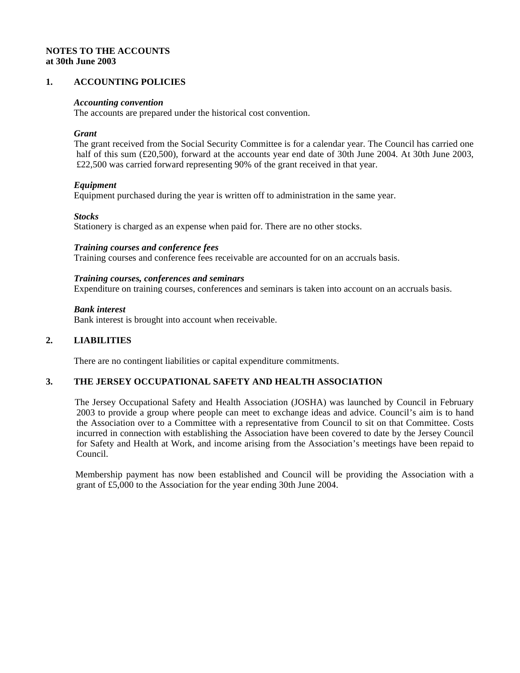# **NOTES TO THE ACCOUNTS at 30th June 2003**

# **1. ACCOUNTING POLICIES**

#### *Accounting convention*

The accounts are prepared under the historical cost convention.

#### *Grant*

 The grant received from the Social Security Committee is for a calendar year. The Council has carried one half of this sum (£20,500), forward at the accounts year end date of 30th June 2004. At 30th June 2003, £22,500 was carried forward representing 90% of the grant received in that year.

#### *Equipment*

Equipment purchased during the year is written off to administration in the same year.

#### *Stocks*

Stationery is charged as an expense when paid for. There are no other stocks.

### *Training courses and conference fees*

Training courses and conference fees receivable are accounted for on an accruals basis.

#### *Training courses, conferences and seminars*

Expenditure on training courses, conferences and seminars is taken into account on an accruals basis.

#### *Bank interest*

Bank interest is brought into account when receivable.

#### **2. LIABILITIES**

There are no contingent liabilities or capital expenditure commitments.

#### **3. THE JERSEY OCCUPATIONAL SAFETY AND HEALTH ASSOCIATION**

 The Jersey Occupational Safety and Health Association (JOSHA) was launched by Council in February 2003 to provide a group where people can meet to exchange ideas and advice. Council's aim is to hand the Association over to a Committee with a representative from Council to sit on that Committee. Costs incurred in connection with establishing the Association have been covered to date by the Jersey Council for Safety and Health at Work, and income arising from the Association's meetings have been repaid to Council.

 Membership payment has now been established and Council will be providing the Association with a grant of £5,000 to the Association for the year ending 30th June 2004.